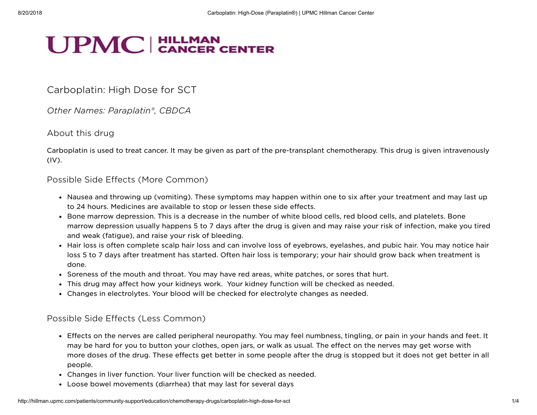# **UPMC** CANCER CENTER

# Carboplatin: High Dose for SCT

Other Names: Paraplatin®, CBDCA

#### About this drug

Carboplatin is used to treat cancer. It may be given as part of the pre-transplant chemotherapy. This drug is given intravenously (IV).

#### Possible Side Effects (More Common)

- Nausea and throwing up (vomiting). These symptoms may happen within one to six after your treatment and may last up to 24 hours. Medicines are available to stop or lessen these side effects.
- Bone marrow depression. This is a decrease in the number of white blood cells, red blood cells, and platelets. Bone marrow depression usually happens 5 to 7 days after the drug is given and may raise your risk of infection, make you tired and weak (fatigue), and raise your risk of bleeding.
- Hair loss is often complete scalp hair loss and can involve loss of eyebrows, eyelashes, and pubic hair. You may notice hair loss 5 to 7 days after treatment has started. Often hair loss is temporary; your hair should grow back when treatment is done.
- Soreness of the mouth and throat. You may have red areas, white patches, or sores that hurt.
- This drug may affect how your kidneys work. Your kidney function will be checked as needed.
- Changes in electrolytes. Your blood will be checked for electrolyte changes as needed.

## Possible Side Effects (Less Common)

- Effects on the nerves are called peripheral neuropathy. You may feel numbness, tingling, or pain in your hands and feet. It may be hard for you to button your clothes, open jars, or walk as usual. The effect on the nerves may get worse with more doses of the drug. These effects get better in some people after the drug is stopped but it does not get better in all people.
- Changes in liver function. Your liver function will be checked as needed.
- Loose bowel movements (diarrhea) that may last for several days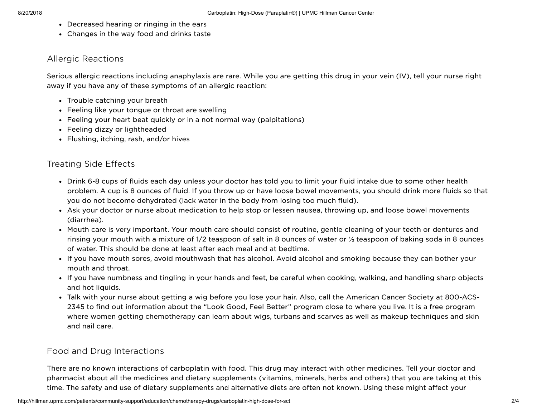- Decreased hearing or ringing in the ears
- Changes in the way food and drinks taste

## Allergic Reactions

Serious allergic reactions including anaphylaxis are rare. While you are getting this drug in your vein (IV), tell your nurse right away if you have any of these symptoms of an allergic reaction:

- Trouble catching your breath
- Feeling like your tongue or throat are swelling
- Feeling your heart beat quickly or in a not normal way (palpitations)
- Feeling dizzy or lightheaded
- Flushing, itching, rash, and/or hives

## Treating Side Effects

- Drink 6-8 cups of fluids each day unless your doctor has told you to limit your fluid intake due to some other health problem. A cup is 8 ounces of fluid. If you throw up or have loose bowel movements, you should drink more fluids so that you do not become dehydrated (lack water in the body from losing too much fluid).
- Ask your doctor or nurse about medication to help stop or lessen nausea, throwing up, and loose bowel movements (diarrhea).
- Mouth care is very important. Your mouth care should consist of routine, gentle cleaning of your teeth or dentures and rinsing your mouth with a mixture of 1/2 teaspoon of salt in 8 ounces of water or ½ teaspoon of baking soda in 8 ounces of water. This should be done at least after each meal and at bedtime.
- If you have mouth sores, avoid mouthwash that has alcohol. Avoid alcohol and smoking because they can bother your mouth and throat.
- If you have numbness and tingling in your hands and feet, be careful when cooking, walking, and handling sharp objects and hot liquids.
- Talk with your nurse about getting a wig before you lose your hair. Also, call the American Cancer Society at 800-ACS-2345 to find out information about the "Look Good, Feel Better" program close to where you live. It is a free program where women getting chemotherapy can learn about wigs, turbans and scarves as well as makeup techniques and skin and nail care.

## Food and Drug Interactions

There are no known interactions of carboplatin with food. This drug may interact with other medicines. Tell your doctor and pharmacist about all the medicines and dietary supplements (vitamins, minerals, herbs and others) that you are taking at this time. The safety and use of dietary supplements and alternative diets are often not known. Using these might affect your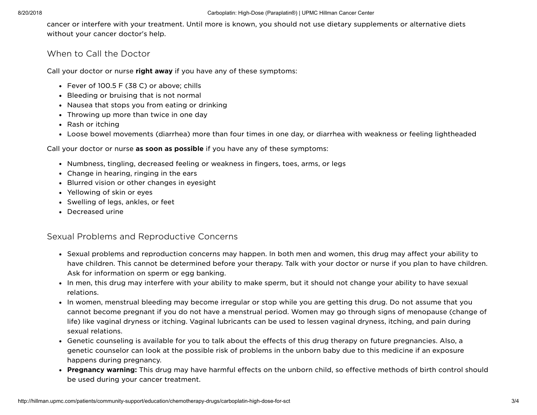cancer or interfere with your treatment. Until more is known, you should not use dietary supplements or alternative diets without your cancer doctor's help.

#### When to Call the Doctor

Call your doctor or nurse right away if you have any of these symptoms:

- Fever of 100.5 F (38 C) or above; chills
- Bleeding or bruising that is not normal
- Nausea that stops you from eating or drinking
- Throwing up more than twice in one day
- Rash or itching
- Loose bowel movements (diarrhea) more than four times in one day, or diarrhea with weakness or feeling lightheaded

Call your doctor or nurse as soon as possible if you have any of these symptoms:

- Numbness, tingling, decreased feeling or weakness in fingers, toes, arms, or legs
- Change in hearing, ringing in the ears
- Blurred vision or other changes in eyesight
- Yellowing of skin or eyes
- Swelling of legs, ankles, or feet
- Decreased urine

### Sexual Problems and Reproductive Concerns

- Sexual problems and reproduction concerns may happen. In both men and women, this drug may affect your ability to have children. This cannot be determined before your therapy. Talk with your doctor or nurse if you plan to have children. Ask for information on sperm or egg banking.
- In men, this drug may interfere with your ability to make sperm, but it should not change your ability to have sexual relations.
- In women, menstrual bleeding may become irregular or stop while you are getting this drug. Do not assume that you cannot become pregnant if you do not have a menstrual period. Women may go through signs of menopause (change of life) like vaginal dryness or itching. Vaginal lubricants can be used to lessen vaginal dryness, itching, and pain during sexual relations.
- Genetic counseling is available for you to talk about the effects of this drug therapy on future pregnancies. Also, a genetic counselor can look at the possible risk of problems in the unborn baby due to this medicine if an exposure happens during pregnancy.
- Pregnancy warning: This drug may have harmful effects on the unborn child, so effective methods of birth control should be used during your cancer treatment.